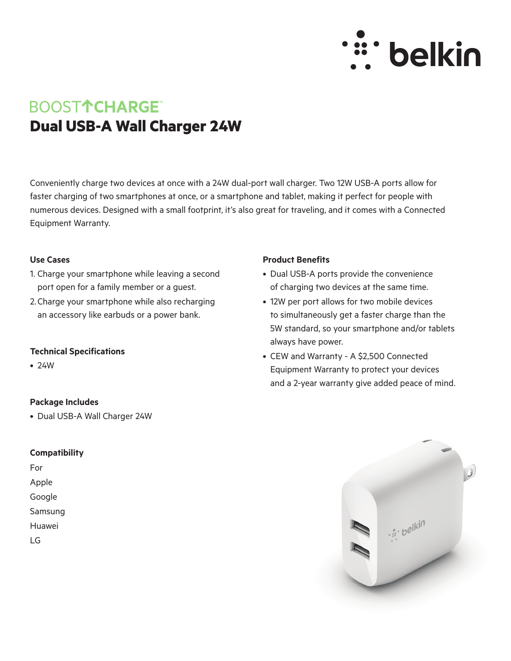

## **BOOSTTCHARGE Dual USB-A Wall Charger 24W**

Conveniently charge two devices at once with a 24W dual-port wall charger. Two 12W USB-A ports allow for faster charging of two smartphones at once, or a smartphone and tablet, making it perfect for people with numerous devices. Designed with a small footprint, it's also great for traveling, and it comes with a Connected Equipment Warranty.

## **Use Cases**

- 1. Charge your smartphone while leaving a second port open for a family member or a guest.
- 2.Charge your smartphone while also recharging an accessory like earbuds or a power bank.

## **Technical Specifications**

• 24W

## **Package Includes**

• Dual USB-A Wall Charger 24W

## **Compatibility**

| For     |
|---------|
| Apple   |
| Google  |
| Samsung |
| Huawei  |
| l (-    |

## **Product Benefits**

- Dual USB-A ports provide the convenience of charging two devices at the same time.
- 12W per port allows for two mobile devices to simultaneously get a faster charge than the 5W standard, so your smartphone and/or tablets always have power.
- CEW and Warranty A \$2,500 Connected Equipment Warranty to protect your devices and a 2-year warranty give added peace of mind.